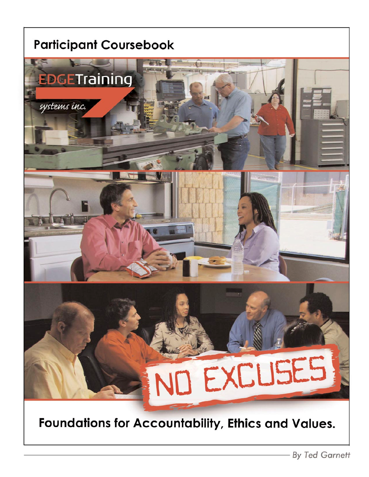# **Participant Coursebook**



Foundations for Accountability, Ethics and Values.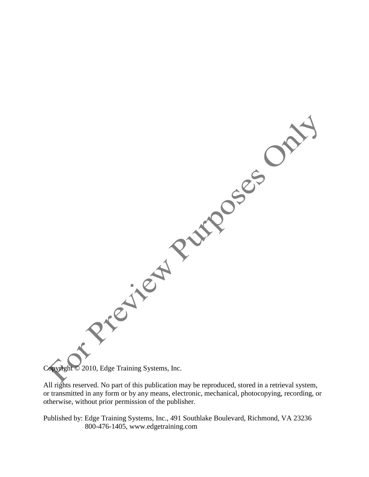Contribute One, Edge Training Systems, Inc.

All rights reserved. No part of this publication may be reproduced, stored in a retrieval system, or transmitted in any form or by any means, electronic, mechanical, photocopying, recording, or otherwise, without prior permission of the publisher.

Published by: Edge Training Systems, Inc., 491 Southlake Boulevard, Richmond, VA 23236 800-476-1405, www.edgetraining.com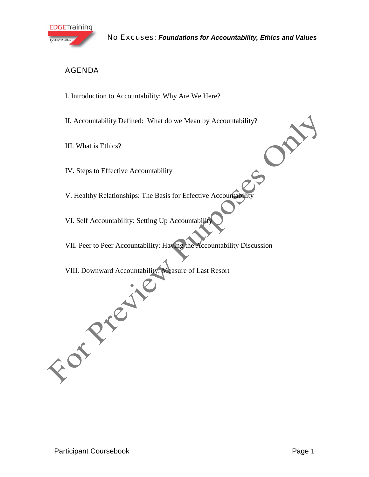

#### AGENDA

I. Introduction to Accountability: Why Are We Here?

II. Accountability Defined: What do we Mean by Accountability?<br>III. What is Ethics?<br>IV. Stens to Fee

- III. What is Ethics?
- IV. Steps to Effective Accountability
- V. Healthy Relationships: The Basis for Effective Accountability
- VI. Self Accountability: Setting Up Accountability
- VII. Peer to Peer Accountability: Having the Accountability Discussion

VIII. Downward Accountability: Measure of Last Resort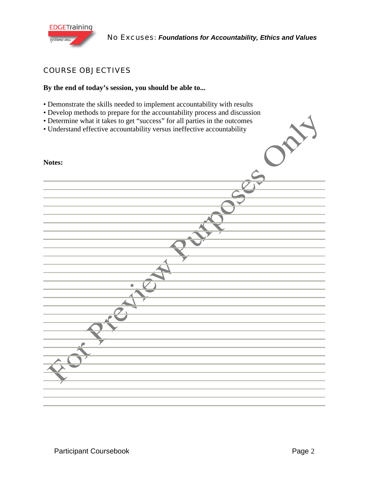

#### COURSE OBJECTIVES

#### **By the end of today's session, you should be able to...**

- Demonstrate the skills needed to implement accountability with results
- Develop methods to prepare for the accountability process and discussion
- Determine what it takes to get "success" for all parties in the outcomes
- Understand effective accountability versus ineffective accountability

| Notes:    |  |
|-----------|--|
|           |  |
|           |  |
|           |  |
|           |  |
|           |  |
|           |  |
|           |  |
| $\bullet$ |  |
|           |  |
|           |  |
|           |  |
|           |  |
|           |  |
|           |  |
|           |  |
|           |  |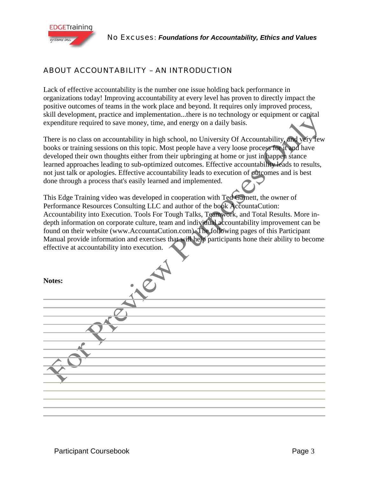

#### ABOUT ACCOUNTABILITY – AN INTRODUCTION

Lack of effective accountability is the number one issue holding back performance in organizations today! Improving accountability at every level has proven to directly impact the positive outcomes of teams in the work place and beyond. It requires only improved process, skill development, practice and implementation...there is no technology or equipment or capital expenditure required to save money, time, and energy on a daily basis.

There is no class on accountability in high school, no University Of Accountability, and very few books or training sessions on this topic. Most people have a very loose process for it and have developed their own thoughts either from their upbringing at home or just in happen stance learned approaches leading to sub-optimized outcomes. Effective accountability leads to results, not just talk or apologies. Effective accountability leads to execution of outcomes and is best done through a process that's easily learned and implemented.

This Edge Training video was developed in cooperation with Ted Garnett, the owner of Performance Resources Consulting LLC and author of the book AccountaCution: Accountability into Execution. Tools For Tough Talks, Teamwork, and Total Results. More indepth information on corporate culture, team and individual accountability improvement can be found on their website (www.AccountaCution.com). The following pages of this Participant Manual provide information and exercises that will help participants hone their ability to become effective at accountability into execution.  $\triangle$ 

| Notes: |  |  |
|--------|--|--|
|        |  |  |
|        |  |  |
|        |  |  |
|        |  |  |
|        |  |  |
|        |  |  |
|        |  |  |
|        |  |  |
|        |  |  |
|        |  |  |
|        |  |  |
|        |  |  |
|        |  |  |
|        |  |  |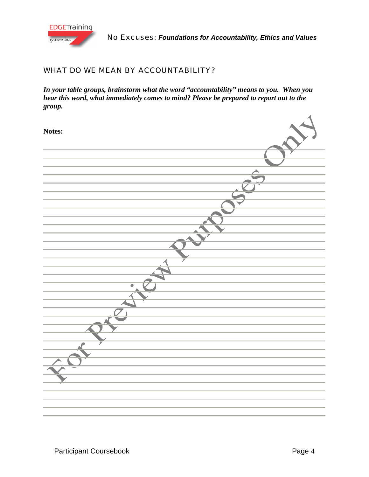

# WHAT DO WE MEAN BY ACCOUNTABILITY?

*In your table groups, brainstorm what the word "accountability" means to you. When you hear this word, what immediately comes to mind? Please be prepared to report out to the group.* 

| Notes: |  |
|--------|--|
|        |  |
|        |  |
|        |  |
|        |  |
|        |  |
|        |  |
|        |  |
|        |  |
|        |  |
|        |  |
|        |  |
|        |  |
|        |  |
|        |  |
|        |  |
|        |  |
|        |  |
|        |  |
|        |  |
|        |  |
|        |  |
|        |  |
|        |  |
|        |  |
|        |  |
|        |  |
|        |  |
|        |  |
|        |  |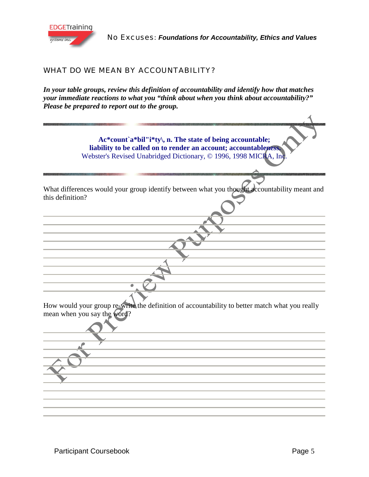

#### WHAT DO WE MEAN BY ACCOUNTABILITY?

*In your table groups, review this definition of accountability and identify how that matches your immediate reactions to what you "think about when you think about accountability?" Please be prepared to report out to the group.* 

| Ac*count`a*bil"i*ty\, n. The state of being accountable;<br>liability to be called on to render an account; accountableness,<br>Webster's Revised Unabridged Dictionary, © 1996, 1998 MICRA, Inc |
|--------------------------------------------------------------------------------------------------------------------------------------------------------------------------------------------------|
| What differences would your group identify between what you thought accountability meant and<br>this definition?                                                                                 |
|                                                                                                                                                                                                  |
|                                                                                                                                                                                                  |
|                                                                                                                                                                                                  |
|                                                                                                                                                                                                  |
|                                                                                                                                                                                                  |
|                                                                                                                                                                                                  |
|                                                                                                                                                                                                  |
| How would your group re-write the definition of accountability to better match what you really<br>mean when you say the word?                                                                    |
|                                                                                                                                                                                                  |
|                                                                                                                                                                                                  |
|                                                                                                                                                                                                  |
|                                                                                                                                                                                                  |
|                                                                                                                                                                                                  |
|                                                                                                                                                                                                  |
|                                                                                                                                                                                                  |
|                                                                                                                                                                                                  |
|                                                                                                                                                                                                  |

 $\blacktriangleleft$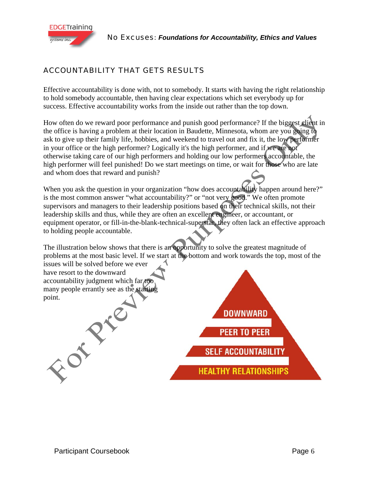

# ACCOUNTABILITY THAT GETS RESULTS

Effective accountability is done with, not to somebody. It starts with having the right relationship to hold somebody accountable, then having clear expectations which set everybody up for success. Effective accountability works from the inside out rather than the top down.

How often do we reward poor performance and punish good performance? If the biggest client in the office is having a problem at their location in Baudette, Minnesota, whom are you going to ask to give up their family life, hobbies, and weekend to travel out and fix it, the low performer in your office or the high performer? Logically it's the high performer, and if we are not otherwise taking care of our high performers and holding our low performers accountable, the high performer will feel punished! Do we start meetings on time, or wait for those who are late and whom does that reward and punish?

When you ask the question in your organization "how does accountability happen around here?" is the most common answer "what accountability?" or "not very good." We often promote supervisors and managers to their leadership positions based on their technical skills, not their leadership skills and thus, while they are often an excellent engineer, or accountant, or equipment operator, or fill-in-the-blank-technical-superstar, they often lack an effective approach to holding people accountable.

The illustration below shows that there is an opportunity to solve the greatest magnitude of problems at the most basic level. If we start at the bottom and work towards the top, most of the issues will be solved before we ever have resort to the downward accountability judgment which far too many people errantly see as the starting point.

DOWNWARD PEER TO PEER **SELF ACCOUNTABILITY** HEALTHY RELATIONSHIPS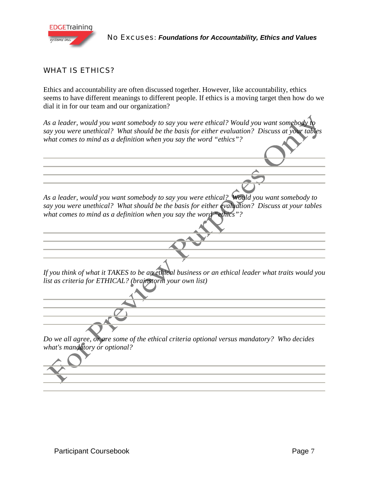

#### WHAT IS ETHICS?

Ethics and accountability are often discussed together. However, like accountability, ethics seems to have different meanings to different people. If ethics is a moving target then how do we dial it in for our team and our organization?

*As a leader, would you want somebody to say you were ethical? Would you want somebody to say you were unethical? What should be the basis for either evaluation? Discuss at your tables what comes to mind as a definition when you say the word "ethics"?* 

*As a leader, would you want somebody to say you were ethical? Would you want somebody to say you were unethical? What should be the basis for either evaluation? Discuss at your tables what comes to mind as a definition when you say the word "ethics"? If you think of what it TAKES to be an ethical business or an ethical leader what traits would you list as criteria for ETHICAL? (brainstorm your own list) Do we all agree, or are some of the ethical criteria optional versus mandatory? Who decides what's mandatory or optional?*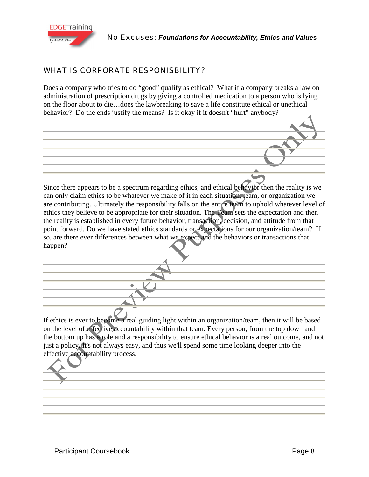

#### WHAT IS CORPORATE RESPONISBILITY?

Does a company who tries to do "good" qualify as ethical? What if a company breaks a law on administration of prescription drugs by giving a controlled medication to a person who is lying on the floor about to die…does the lawbreaking to save a life constitute ethical or unethical behavior? Do the ends justify the means? Is it okay if it doesn't "hurt" anybody?

Since there appears to be a spectrum regarding ethics, and ethical behavior then the reality is we can only claim ethics to be whatever we make of it in each situation, team, or organization we are contributing. Ultimately the responsibility falls on the entire team to uphold whatever level of ethics they believe to be appropriate for their situation. The Team sets the expectation and then the reality is established in every future behavior, transaction, decision, and attitude from that point forward. Do we have stated ethics standards or expectations for our organization/team? If so, are there ever differences between what we expect and the behaviors or transactions that happen?

If ethics is ever to become a real guiding light within an organization/team, then it will be based on the level of effective accountability within that team. Every person, from the top down and the bottom up has a role and a responsibility to ensure ethical behavior is a real outcome, and not just a policy. It's not always easy, and thus we'll spend some time looking deeper into the effective accountability process.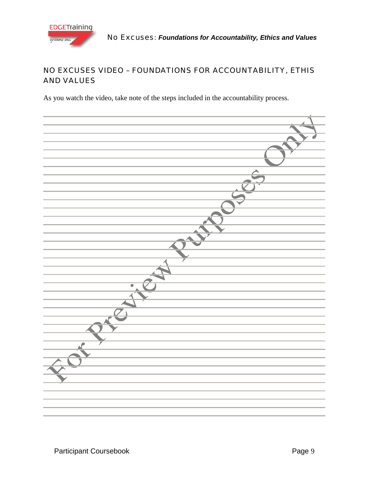# NO EXCUSES VIDEO – FOUNDATIONS FOR ACCOUNTABILITY, ETHIS AND VALUES

As you watch the video, take note of the steps included in the accountability process.

| $\begin{tabular}{ c c c c } \hline \quad \quad & \quad \quad & \quad \quad & \quad \quad \\ \hline \quad \quad & \quad \quad & \quad \quad & \quad \quad \\ \hline \quad \quad & \quad \quad & \quad \quad & \quad \quad \\ \hline \quad \quad & \quad \quad & \quad \quad & \quad \quad \\ \hline \end{tabular}$ |
|-------------------------------------------------------------------------------------------------------------------------------------------------------------------------------------------------------------------------------------------------------------------------------------------------------------------|
|                                                                                                                                                                                                                                                                                                                   |
|                                                                                                                                                                                                                                                                                                                   |
|                                                                                                                                                                                                                                                                                                                   |
|                                                                                                                                                                                                                                                                                                                   |
| $\bullet$                                                                                                                                                                                                                                                                                                         |
|                                                                                                                                                                                                                                                                                                                   |
|                                                                                                                                                                                                                                                                                                                   |
|                                                                                                                                                                                                                                                                                                                   |
|                                                                                                                                                                                                                                                                                                                   |
|                                                                                                                                                                                                                                                                                                                   |
|                                                                                                                                                                                                                                                                                                                   |
|                                                                                                                                                                                                                                                                                                                   |
|                                                                                                                                                                                                                                                                                                                   |
|                                                                                                                                                                                                                                                                                                                   |
|                                                                                                                                                                                                                                                                                                                   |
|                                                                                                                                                                                                                                                                                                                   |
|                                                                                                                                                                                                                                                                                                                   |
|                                                                                                                                                                                                                                                                                                                   |
|                                                                                                                                                                                                                                                                                                                   |
|                                                                                                                                                                                                                                                                                                                   |
|                                                                                                                                                                                                                                                                                                                   |
|                                                                                                                                                                                                                                                                                                                   |
|                                                                                                                                                                                                                                                                                                                   |
|                                                                                                                                                                                                                                                                                                                   |
|                                                                                                                                                                                                                                                                                                                   |
|                                                                                                                                                                                                                                                                                                                   |
|                                                                                                                                                                                                                                                                                                                   |
|                                                                                                                                                                                                                                                                                                                   |
|                                                                                                                                                                                                                                                                                                                   |
|                                                                                                                                                                                                                                                                                                                   |
|                                                                                                                                                                                                                                                                                                                   |
|                                                                                                                                                                                                                                                                                                                   |
|                                                                                                                                                                                                                                                                                                                   |
|                                                                                                                                                                                                                                                                                                                   |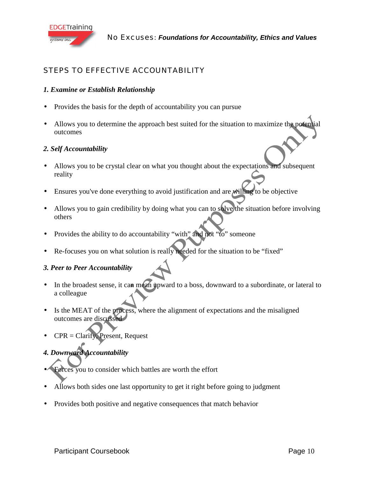# STEPS TO EFFECTIVE ACCOUNTABILITY

#### *1. Examine or Establish Relationship*

- Provides the basis for the depth of accountability you can pursue
- Allows you to determine the approach best suited for the situation to maximize the potential outcomes

#### *2. Self Accountability*

- Allows you to be crystal clear on what you thought about the expectations and subsequent reality
- Ensures you've done everything to avoid justification and are willing to be objective
- Allows you to gain credibility by doing what you can to solve the situation before involving others
- Provides the ability to do accountability "with" and not "to" someone
- Re-focuses you on what solution is really needed for the situation to be "fixed"

#### *3. Peer to Peer Accountability*

- In the broadest sense, it can mean upward to a boss, downward to a subordinate, or lateral to a colleague
- Is the MEAT of the process, where the alignment of expectations and the misaligned outcomes are discussed
- $CPR = Clarity$ , Present, Request
- *4. Downward Accountability*
- Forces you to consider which battles are worth the effort
- Allows both sides one last opportunity to get it right before going to judgment
- Provides both positive and negative consequences that match behavior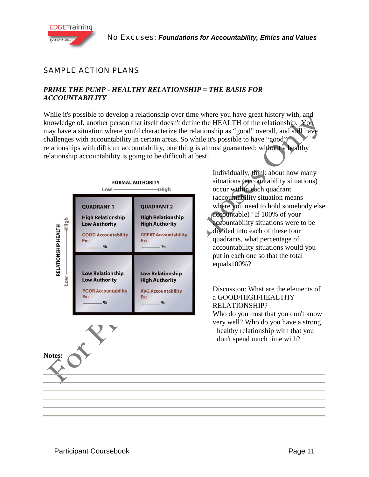

#### SAMPLE ACTION PLANS

#### *PRIME THE PUMP - HEALTHY RELATIONSHIP = THE BASIS FOR ACCOUNTABILITY*

While it's possible to develop a relationship over time where you have great history with, and knowledge of, another person that itself doesn't define the HEALTH of the relationship. You may have a situation where you'd characterize the relationship as "good" overall, and still have challenges with accountability in certain areas. So while it's possible to have "good" relationships with difficult accountability, one thing is almost guaranteed: without a healthy relationship accountability is going to be difficult at best!



Individually, think about how many situations (accountability situations) occur within each quadrant (accountability situation means where you need to hold somebody else accountable)? If 100% of your accountability situations were to be divided into each of these four quadrants, what percentage of accountability situations would you put in each one so that the total equals100%?

Discussion: What are the elements of a GOOD/HIGH/HEALTHY RELATIONSHIP? Who do you trust that you don't know very well? Who do you have a strong healthy relationship with that you don't spend much time with?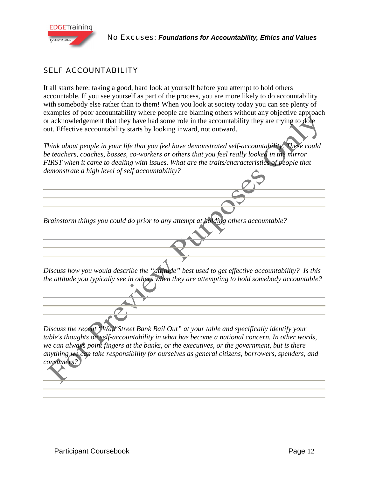

# SELF ACCOUNTABILITY

It all starts here: taking a good, hard look at yourself before you attempt to hold others accountable. If you see yourself as part of the process, you are more likely to do accountability with somebody else rather than to them! When you look at society today you can see plenty of examples of poor accountability where people are blaming others without any objective approach or acknowledgement that they have had some role in the accountability they are trying to dole out. Effective accountability starts by looking inward, not outward.

*Think about people in your life that you feel have demonstrated self-accountability. These could be teachers, coaches, bosses, co-workers or others that you feel really looked in the mirror FIRST when it came to dealing with issues. What are the traits/characteristics of people that demonstrate a high level of self accountability?* 

*Brainstorm things you could do prior to any attempt at holding others accountable?* 

*Discuss how you would describe the "attitude" best used to get effective accountability? Is this the attitude you typically see in others when they are attempting to hold somebody accountable?* 

*Discuss the recent "Wall Street Bank Bail Out" at your table and specifically identify your table's thoughts on self-accountability in what has become a national concern. In other words, we can always point fingers at the banks, or the executives, or the government, but is there anything we can take responsibility for ourselves as general citizens, borrowers, spenders, and consumers?*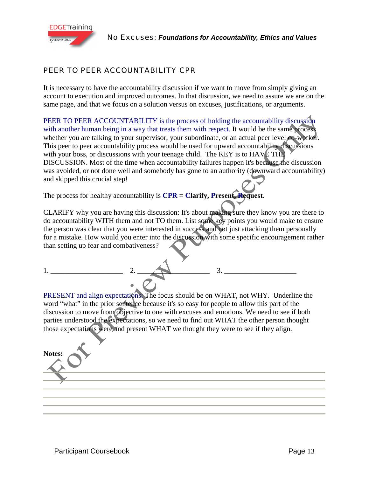

# PEER TO PEER ACCOUNTABILITY CPR

It is necessary to have the accountability discussion if we want to move from simply giving an account to execution and improved outcomes. In that discussion, we need to assure we are on the same page, and that we focus on a solution versus on excuses, justifications, or arguments.

PEER TO PEER ACCOUNTABILITY is the process of holding the accountability discussion with another human being in a way that treats them with respect. It would be the same process whether you are talking to your supervisor, your subordinate, or an actual peer level co-worker. This peer to peer accountability process would be used for upward accountability discussions with your boss, or discussions with your teenage child. The KEY is to HAVE THE DISCUSSION. Most of the time when accountability failures happen it's because the discussion was avoided, or not done well and somebody has gone to an authority (downward accountability) and skipped this crucial step!

The process for healthy accountability is **CPR = Clarify, Present, Request**.

CLARIFY why you are having this discussion: It's about making sure they know you are there to do accountability WITH them and not TO them. List some key points you would make to ensure the person was clear that you were interested in success and not just attacking them personally for a mistake. How would you enter into the discussion with some specific encouragement rather than setting up fear and combativeness?

**Notes:** 

1.  $2. \quad 3. \quad 3.$ 

PRESENT and align expectations: The focus should be on WHAT, not WHY. Underline the word "what" in the prior sentence because it's so easy for people to allow this part of the discussion to move from objective to one with excuses and emotions. We need to see if both parties understood the expectations, so we need to find out WHAT the other person thought those expectations were and present WHAT we thought they were to see if they align.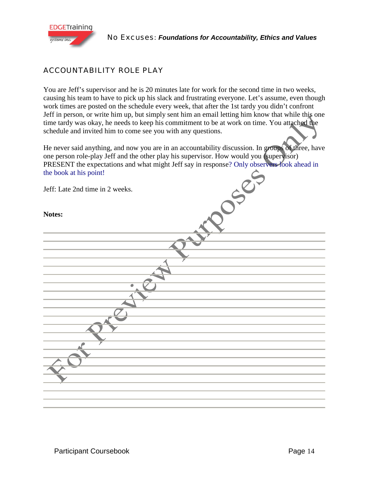

# ACCOUNTABILITY ROLE PLAY

You are Jeff's supervisor and he is 20 minutes late for work for the second time in two weeks, causing his team to have to pick up his slack and frustrating everyone. Let's assume, even though work times are posted on the schedule every week, that after the 1st tardy you didn't confront Jeff in person, or write him up, but simply sent him an email letting him know that while this one time tardy was okay, he needs to keep his commitment to be at work on time. You attached the schedule and invited him to come see you with any questions.

He never said anything, and now you are in an accountability discussion. In groups of three, have one person role-play Jeff and the other play his supervisor. How would you (supervisor) PRESENT the expectations and what might Jeff say in response? Only observers look ahead in the book at his point!<br>Jeff: Late 2nd time in 2 weeks. the book at his point!

Jeff: Late 2nd time in 2 weeks.

| Notes: |           |  |
|--------|-----------|--|
|        |           |  |
|        |           |  |
|        |           |  |
|        | $\bullet$ |  |
|        |           |  |
|        |           |  |
|        |           |  |
|        |           |  |
|        |           |  |
|        |           |  |
|        |           |  |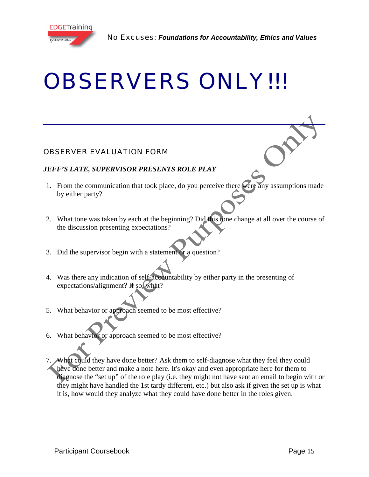# OBSERVERS ONLY!!!

#### OBSERVER EVALUATION FORM

#### *JEFF'S LATE, SUPERVISOR PRESENTS ROLE PLAY*

- 1. From the communication that took place, do you perceive there were any assumptions made by either party?
- 2. What tone was taken by each at the beginning? Did this tone change at all over the course of the discussion presenting expectations?
- 3. Did the supervisor begin with a statement or a question?
- 4. Was there any indication of self-accountability by either party in the presenting of expectations/alignment? If so, what?
- 5. What behavior or approach seemed to be most effective?
- 6. What behavior or approach seemed to be most effective?
- 7. What could they have done better? Ask them to self-diagnose what they feel they could have done better and make a note here. It's okay and even appropriate here for them to diagnose the "set up" of the role play (i.e. they might not have sent an email to begin with or they might have handled the 1st tardy different, etc.) but also ask if given the set up is what it is, how would they analyze what they could have done better in the roles given.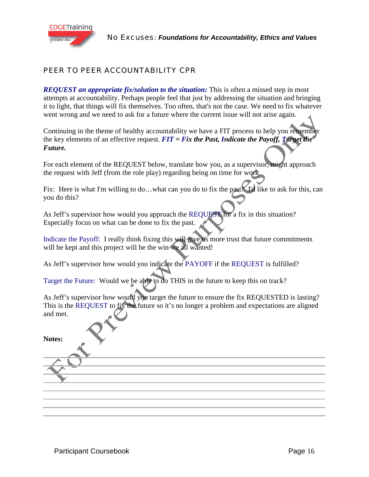

#### PEER TO PEER ACCOUNTABILITY CPR

*REQUEST an appropriate fix/solution to the situation:* This is often a missed step in most attempts at accountability. Perhaps people feel that just by addressing the situation and bringing it to light, that things will fix themselves. Too often, that's not the case. We need to fix whatever went wrong and we need to ask for a future where the current issue will not arise again.

Continuing in the theme of healthy accountability we have a FIT process to help you remember the key elements of an effective request. *FIT = Fix the Past, Indicate the Payoff, Target the Future.* 

For each element of the REQUEST below, translate how you, as a supervisor, might approach the request with Jeff (from the role play) regarding being on time for work.

Fix: Here is what I'm willing to do...what can you do to fix the past  $\blacktriangleright$  I'd like to ask for this, can you do this?

As Jeff's supervisor how would you approach the REQUEST for a fix in this situation? Especially focus on what can be done to fix the past.

Indicate the Payoff: I really think fixing this will give us more trust that future commitments will be kept and this project will be the win we all wanted!

As Jeff's supervisor how would you indicate the PAYOFF if the REQUEST is fulfilled?

Target the Future: Would we be able to do THIS in the future to keep this on track?

As Jeff's supervisor how would you target the future to ensure the fix REQUESTED is lasting? This is the REQUEST to fix the future so it's no longer a problem and expectations are aligned and met.

**Notes:**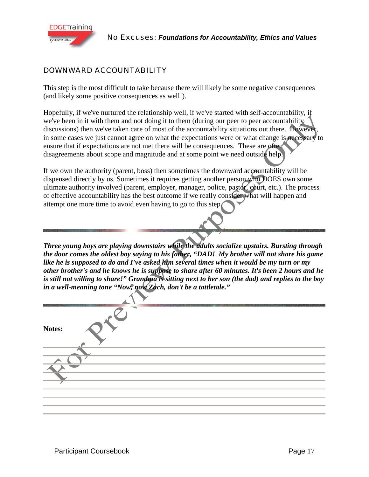

This step is the most difficult to take because there will likely be some negative consequences (and likely some positive consequences as well!).

Hopefully, if we've nurtured the relationship well, if we've started with self-accountability, if we've been in it with them and not doing it to them (during our peer to peer accountability discussions) then we've taken care of most of the accountability situations out there. However, in some cases we just cannot agree on what the expectations were or what change is necessary to ensure that if expectations are not met there will be consequences. These are often disagreements about scope and magnitude and at some point we need outside help.

If we own the authority (parent, boss) then sometimes the downward accountability will be dispensed directly by us. Sometimes it requires getting another person who DOES own some ultimate authority involved (parent, employer, manager, police, pastor, court, etc.). The process of effective accountability has the best outcome if we really consider what will happen and attempt one more time to avoid even having to go to this step.

*Three young boys are playing downstairs while the adults socialize upstairs. Bursting through the door comes the oldest boy saying to his father, "DAD! My brother will not share his game like he is supposed to do and I've asked him several times when it would be my turn or my other brother's and he knows he is suppose to share after 60 minutes. It's been 2 hours and he is still not willing to share!" Grandma is sitting next to her son (the dad) and replies to the boy in a well-meaning tone "Now, now Zach, don't be a tattletale."* 

| Notes: |
|--------|
|        |
|        |
|        |
|        |
|        |
|        |
|        |
|        |
|        |
|        |
|        |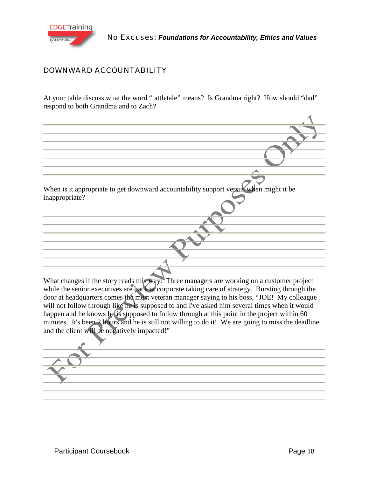

At your table discuss what the word "tattletale" means? Is Grandma right? How should "dad" respond to both Grandma and to Zach?

| When is it appropriate to get downward accountability support versus when might it be<br>inappropriate? |
|---------------------------------------------------------------------------------------------------------|
|                                                                                                         |
|                                                                                                         |
|                                                                                                         |
|                                                                                                         |
|                                                                                                         |
|                                                                                                         |
|                                                                                                         |

What changes if the story reads this way: Three managers are working on a customer project while the senior executives are back at corporate taking care of strategy. Bursting through the door at headquarters comes the most veteran manager saying to his boss, "JOE! My colleague will not follow through like he is supposed to and I've asked him several times when it would happen and he knows he is supposed to follow through at this point in the project within 60 minutes. It's been 2 hours and he is still not willing to do it! We are going to miss the deadline and the client will be negatively impacted!"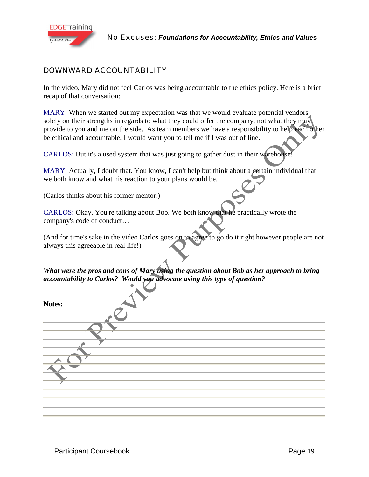

In the video, Mary did not feel Carlos was being accountable to the ethics policy. Here is a brief recap of that conversation:

MARY: When we started out my expectation was that we would evaluate potential vendors solely on their strengths in regards to what they could offer the company, not what they may provide to you and me on the side. As team members we have a responsibility to help each other be ethical and accountable. I would want you to tell me if I was out of line.

CARLOS: But it's a used system that was just going to gather dust in their warehouse!

MARY: Actually, I doubt that. You know, I can't help but think about a gertain individual that we both know and what his reaction to your plans would be.

(Carlos thinks about his former mentor.)

CARLOS: Okay. You're talking about Bob. We both know that he practically wrote the company's code of conduct…

(And for time's sake in the video Carlos goes on to agree to go do it right however people are not always this agreeable in real life!)

*What were the pros and cons of Mary using the question about Bob as her approach to bring accountability to Carlos? Would you advocate using this type of question?*   $\cdot$  .  $\circlearrowright$ 

| Notes: |  |  |
|--------|--|--|
|        |  |  |
|        |  |  |
|        |  |  |
|        |  |  |
|        |  |  |
|        |  |  |
|        |  |  |
|        |  |  |
|        |  |  |
|        |  |  |
|        |  |  |
|        |  |  |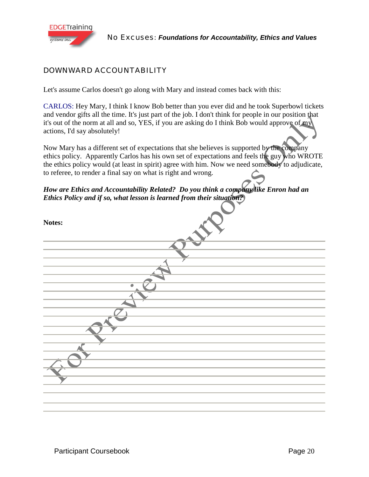

Let's assume Carlos doesn't go along with Mary and instead comes back with this:

CARLOS: Hey Mary, I think I know Bob better than you ever did and he took Superbowl tickets and vendor gifts all the time. It's just part of the job. I don't think for people in our position that it's out of the norm at all and so, YES, if you are asking do I think Bob would approve of my actions, I'd say absolutely!

Now Mary has a different set of expectations that she believes is supported by the company ethics policy. Apparently Carlos has his own set of expectations and feels the guy who WROTE the ethics policy would (at least in spirit) agree with him. Now we need somebody to adjudicate, to referee, to render a final say on what is right and wrong.

*How are Ethics and Accountability Related? Do you think a company like Enron had an Ethics Policy and if so, what lesson is learned from their situation?* 

| Notes: |           |  |
|--------|-----------|--|
|        |           |  |
|        |           |  |
|        |           |  |
|        |           |  |
|        |           |  |
|        | $\bullet$ |  |
|        |           |  |
|        |           |  |
|        |           |  |
|        |           |  |
|        |           |  |
|        |           |  |
|        |           |  |
|        |           |  |
|        |           |  |
|        |           |  |
|        |           |  |
|        |           |  |
|        |           |  |
|        |           |  |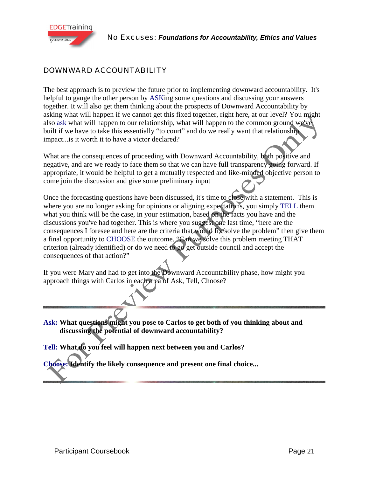

The best approach is to preview the future prior to implementing downward accountability. It's helpful to gauge the other person by ASKing some questions and discussing your answers together. It will also get them thinking about the prospects of Downward Accountability by asking what will happen if we cannot get this fixed together, right here, at our level? You might also ask what will happen to our relationship, what will happen to the common ground we've built if we have to take this essentially "to court" and do we really want that relationship impact...is it worth it to have a victor declared?

What are the consequences of proceeding with Downward Accountability, both positive and negative, and are we ready to face them so that we can have full transparency going forward. If appropriate, it would be helpful to get a mutually respected and like-minded objective person to come join the discussion and give some preliminary input

Once the forecasting questions have been discussed, it's time to close with a statement. This is where you are no longer asking for opinions or aligning expectations, you simply TELL them what you think will be the case, in your estimation, based on the facts you have and the discussions you've had together. This is where you suggest one last time, "here are the consequences I foresee and here are the criteria that would fix/solve the problem" then give them a final opportunity to CHOOSE the outcome. "Can we solve this problem meeting THAT criterion (already identified) or do we need to go get outside council and accept the consequences of that action?"

If you were Mary and had to get into the Downward Accountability phase, how might you approach things with Carlos in each area of Ask, Tell, Choose?

**Ask: What questions might you pose to Carlos to get both of you thinking about and discussing the potential of downward accountability?** 

**Tell: What do you feel will happen next between you and Carlos?** 

**Choose: Identify the likely consequence and present one final choice...**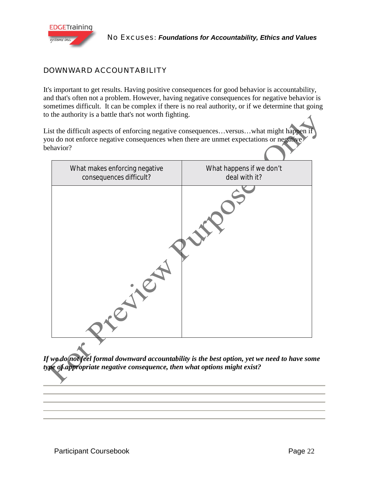

It's important to get results. Having positive consequences for good behavior is accountability, and that's often not a problem. However, having negative consequences for negative behavior is sometimes difficult. It can be complex if there is no real authority, or if we determine that going to the authority is a battle that's not worth fighting.

List the difficult aspects of enforcing negative consequences…versus…what might happen if you do not enforce negative consequences when there are unmet expectations or negative behavior?

| What makes enforcing negative | What happens if we don't |
|-------------------------------|--------------------------|
| consequences difficult?       | deal with it?            |
|                               |                          |

*If we do not feel formal downward accountability is the best option, yet we need to have some type of appropriate negative consequence, then what options might exist?*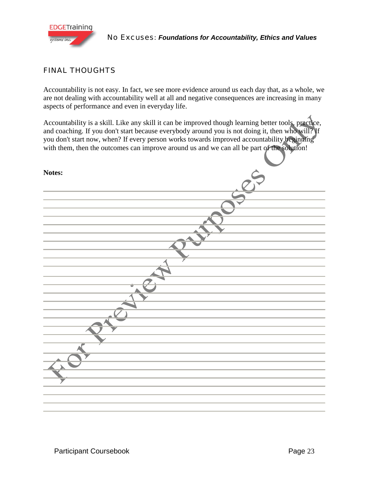

#### FINAL THOUGHTS

Accountability is not easy. In fact, we see more evidence around us each day that, as a whole, we are not dealing with accountability well at all and negative consequences are increasing in many aspects of performance and even in everyday life.

Accountability is a skill. Like any skill it can be improved though learning better tools, practice, and coaching. If you don't start because everybody around you is not doing it, then who will? If you don't start now, when? If every person works towards improved accountability beginning with them, then the outcomes can improve around us and we can all be part of the solution!

| Notes: |                                                             |
|--------|-------------------------------------------------------------|
|        |                                                             |
|        |                                                             |
|        |                                                             |
|        |                                                             |
|        |                                                             |
|        |                                                             |
|        |                                                             |
|        |                                                             |
|        |                                                             |
|        |                                                             |
|        |                                                             |
|        |                                                             |
|        | the control of the control of the control of                |
|        |                                                             |
|        |                                                             |
|        | the control of the control of the control of the control of |
|        |                                                             |
|        |                                                             |
|        |                                                             |
|        |                                                             |
|        |                                                             |
|        |                                                             |
|        |                                                             |
|        |                                                             |
|        |                                                             |
|        |                                                             |
|        |                                                             |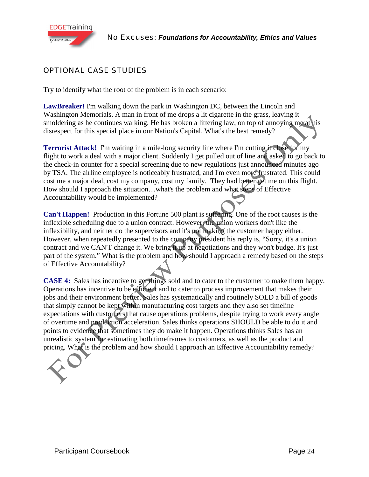

# OPTIONAL CASE STUDIES

Try to identify what the root of the problem is in each scenario:

**LawBreaker!** I'm walking down the park in Washington DC, between the Lincoln and Washington Memorials. A man in front of me drops a lit cigarette in the grass, leaving it smoldering as he continues walking. He has broken a littering law, on top of annoying me at his disrespect for this special place in our Nation's Capital. What's the best remedy?

**Terrorist Attack!** I'm waiting in a mile-long security line where I'm cutting it close for my flight to work a deal with a major client. Suddenly I get pulled out of line and asked to go back to the check-in counter for a special screening due to new regulations just announced minutes ago by TSA. The airline employee is noticeably frustrated, and I'm even more frustrated. This could cost me a major deal, cost my company, cost my family. They had better get me on this flight. How should I approach the situation...what's the problem and what steps of Effective Accountability would be implemented?

**Can't Happen!** Production in this Fortune 500 plant is suffering. One of the root causes is the inflexible scheduling due to a union contract. However, the union workers don't like the inflexibility, and neither do the supervisors and it's not making the customer happy either. However, when repeatedly presented to the company president his reply is, "Sorry, it's a union contract and we CAN'T change it. We bring it up at negotiations and they won't budge. It's just part of the system." What is the problem and how should I approach a remedy based on the steps of Effective Accountability?

**CASE 4:** Sales has incentive to get things sold and to cater to the customer to make them happy. Operations has incentive to be efficient and to cater to process improvement that makes their jobs and their environment better. Sales has systematically and routinely SOLD a bill of goods that simply cannot be kept within manufacturing cost targets and they also set timeline expectations with customers that cause operations problems, despite trying to work every angle of overtime and production acceleration. Sales thinks operations SHOULD be able to do it and points to evidence that sometimes they do make it happen. Operations thinks Sales has an unrealistic system for estimating both timeframes to customers, as well as the product and pricing. What is the problem and how should I approach an Effective Accountability remedy?

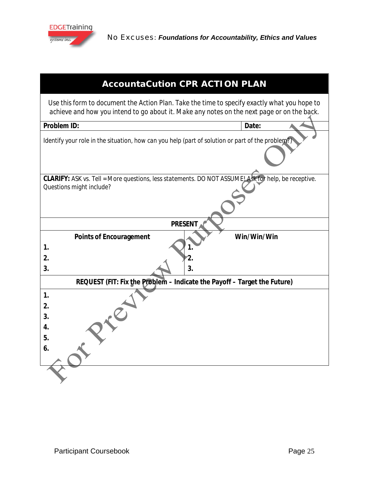

| <b>AccountaCution CPR ACTION PLAN</b>                                                                                                                                                      |  |
|--------------------------------------------------------------------------------------------------------------------------------------------------------------------------------------------|--|
| Use this form to document the Action Plan. Take the time to specify exactly what you hope to<br>achieve and how you intend to go about it. Make any notes on the next page or on the back. |  |
| Problem ID:<br>Date:                                                                                                                                                                       |  |
| Identify your role in the situation, how can you help (part of solution or part of the problem?                                                                                            |  |
| CLARIFY: ASK vs. Tell = More questions, less statements. DO NOT ASSUME! Ask for help, be receptive.<br>Questions might include?                                                            |  |
| <b>PRESENT</b>                                                                                                                                                                             |  |
| Win/Win/Win<br><b>Points of Encouragement</b><br>1.<br>2.<br>3.<br>3.                                                                                                                      |  |
| REQUEST (FIT: Fix the Problem - Indicate the Payoff - Target the Future)                                                                                                                   |  |
| 1.<br>2.<br>3.<br>4.<br>5.<br>6.                                                                                                                                                           |  |
|                                                                                                                                                                                            |  |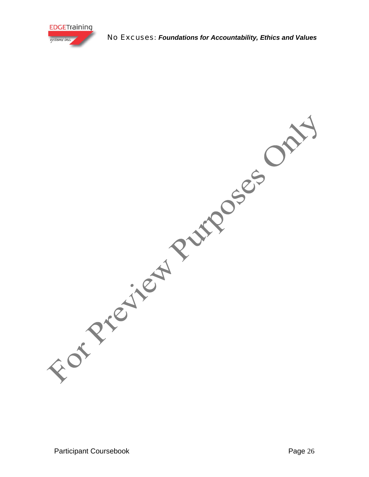

For Prejier Purposes Only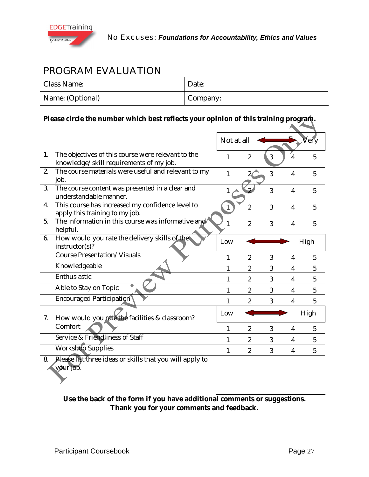

# PROGRAM EVALUATION

| Class Name:      | Date:    |
|------------------|----------|
| Name: (Optional) | Company: |

# **Please circle the number which best reflects your opinion of this training program.**

|    |                                                                                               | Not at all |                  |   |                         | Very           |
|----|-----------------------------------------------------------------------------------------------|------------|------------------|---|-------------------------|----------------|
| 1. | The objectives of this course were relevant to the<br>knowledge/skill requirements of my job. | 1          | $\overline{2}$   | 3 | 4                       | 5              |
| 2. | The course materials were useful and relevant to my<br>job.                                   | 1          |                  | 3 | $\overline{\mathbf{4}}$ | 5              |
| 3. | The course content was presented in a clear and<br>understandable manner.                     |            |                  | 3 | $\overline{\mathbf{4}}$ | $\overline{5}$ |
| 4. | This course has increased my confidence level to<br>apply this training to my job.            |            | $\overline{2}$   | 3 | $\overline{4}$          | 5              |
| 5. | The information in this course was informative and<br>helpful.                                |            | $\overline{2}$   | 3 | 4                       | 5              |
| 6. | How would you rate the delivery skills of the<br>$instructor(s)$ ?                            | Low        |                  |   |                         | High           |
|    | <b>Course Presentation/Visuals</b>                                                            | 1          | $\overline{c}$   | 3 | $\overline{\mathbf{4}}$ | $\overline{5}$ |
|    | Knowledgeable                                                                                 | 1          | $\overline{2}$   | 3 | 4                       | 5              |
|    | Enthusiastic                                                                                  | 1          | $\overline{2}$   | 3 | 4                       | 5              |
|    | Able to Stay on Topic                                                                         | 1          | $\overline{2}$   | 3 | $\overline{4}$          | $\overline{5}$ |
|    | <b>Encouraged Participation</b>                                                               | 1          | $\boldsymbol{2}$ | 3 | $\overline{\mathbf{4}}$ | 5              |
| 7. | How would you rate the facilities & classroom?                                                | Low        |                  |   |                         | High           |
|    | Comfort                                                                                       | 1          | $\boldsymbol{2}$ | 3 | $\overline{\mathbf{4}}$ | $\overline{5}$ |
|    | <b>Service &amp; Friendliness of Staff</b>                                                    | 1          | $\overline{c}$   | 3 | 4                       | 5              |
|    | <b>Workshop Supplies</b>                                                                      | 1          | $\overline{2}$   | 3 | $\overline{4}$          | $\overline{5}$ |
| 8. | Please list three ideas or skills that you will apply to<br>your job.                         |            |                  |   |                         |                |
|    |                                                                                               |            |                  |   |                         |                |

**Use the back of the form if you have additional comments or suggestions. Thank you for your comments and feedback.**